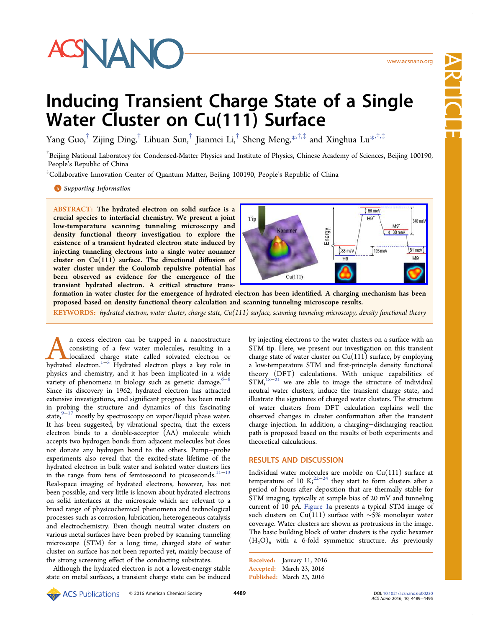

Article

# Inducing Transient Charge State of a Single Water Cluster on Cu(111) Surface

Yang Guo,<sup>†</sup> Zijing Ding,<sup>†</sup> Lihuan Sun,<sup>†</sup> Jianmei Li,<sup>†</sup> Sheng Meng,\*<sup>,†,‡</sup> and Xinghua Lu<sup>\*,†,‡</sup>

<sup>†</sup>Beijing National Laboratory for Condensed-Matter Physics and Institute of Physic[s, C](#page-5-0)hinese Academy of Sci[enc](#page-5-0)es, Beijing 100190, People's Republic of China

‡ Collaborative Innovation Center of Quantum Matter, Beijing 100190, People's Republic of China

**S** Supporting Information

[AB](#page-5-0)STRACT: [The hydrated](#page-5-0) electron on solid surface is a crucial species to interfacial chemistry. We present a joint low-temperature scanning tunneling microscopy and density functional theory investigation to explore the existence of a transient hydrated electron state induced by injecting tunneling electrons into a single water nonamer cluster on Cu(111) surface. The directional diffusion of water cluster under the Coulomb repulsive potential has been observed as evidence for the emergence of the transient hydrated electron. A critical structure trans-



formation in water cluster for the emergence of hydrated electron has been identifi[ed. A charging mechanism has been](http://pubsdc3.acs.org/action/showImage?doi=10.1021/acsnano.6b00230&iName=master.img-000.jpg&w=238&h=100) proposed based on density functional theory calculation and scanning tunneling microscope results.

KEYWORDS: hydrated electron, water cluster, charge state,  $Cu(111)$  surface, scanning tunneling microscopy, density functional theory

**A** n excess electron can be trapped in a nanostructure consisting of a few water molecules, resulting in a localized charge state called solvated electron or hydrated electron.<sup>1-5</sup> Hydrated electron plays a key role in consisting of a few water molecules, resulting in a localized charge state called solvated electron or hydrated electron.1−<sup>5</sup> Hydrated electron plays a key role in physics and chemistry, and it has been implicated in a wide variety of pheno[mena](#page-5-0) in biology such as genetic damage. $6-8$ Since its discovery in 1962, hydrated electron has attracted extensive investigations, and significant progress has been m[ade](#page-5-0) in probing the structure and dynamics of this fascinating state, $9-17$  mostly by spectroscopy on vapor/liquid phase water. It has been suggested, by vibrational spectra, that the excess elect[ron](#page-5-0) binds to a double-acceptor (AA) molecule which accepts two hydrogen bonds from adjacent molecules but does not donate any hydrogen bond to the others. Pump−probe experiments also reveal that the excited-state lifetime of the hydrated electron in bulk water and isolated water clusters lies in the range from tens of femtosecond to picoseconds.11−<sup>13</sup> Real-space imaging of hydrated electrons, however, has not been possible, and very little is known about hydrated elec[trons](#page-5-0) on solid interfaces at the microscale which are relevant to a broad range of physicochemical phenomena and technological processes such as corrosion, lubrication, heterogeneous catalysis and electrochemistry. Even though neutral water clusters on various metal surfaces have been probed by scanning tunneling microscope (STM) for a long time, charged state of water cluster on surface has not been reported yet, mainly because of the strong screening effect of the conducting substrates.

Although the hydrated electron is not a lowest-energy stable state on metal surfaces, a transient charge state can be induced by injecting electrons to the water clusters on a surface with an STM tip. Here, we present our investigation on this transient charge state of water cluster on  $Cu(111)$  surface, by employing a low-temperature STM and first-principle density functional theory (DFT) calculations. With unique capabilities of  $STM<sub>1</sub><sup>18–21</sup>$  we are able to image the structure of individual neutral water clusters, induce the transient charge state, and illustr[ate th](#page-5-0)e signatures of charged water clusters. The structure of water clusters from DFT calculation explains well the observed changes in cluster conformation after the transient charge injection. In addition, a charging−discharging reaction path is proposed based on the results of both experiments and theoretical calculations.

# RESULTS AND DISCUSSION

Individual water molecules are mobile on Cu(111) surface at temperature of 10 K;<sup>22−24</sup> they start to form clusters after a period of hours after deposition that are thermally stable for STM imaging, typicall[y a](#page-5-0)[t s](#page-6-0)ample bias of 20 mV and tunneling current of 10 pA. Figure 1a presents a typical STM image of such clusters on Cu(111) surface with ∼5% monolayer water coverage. Water cl[usters are](#page-1-0) shown as protrusions in the image. The basic building block of water clusters is the cyclic hexamer  $(H<sub>2</sub>O)<sub>6</sub>$  with a 6-fold symmetric structure. As previously

Received: January 11, 2016 Accepted: March 23, 2016 Published: March 23, 2016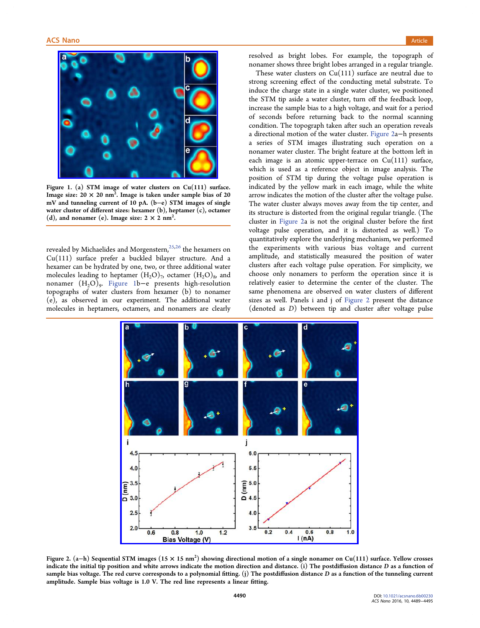<span id="page-1-0"></span>

Figu[re 1. \(a\) STM image of water clusters on Cu\(111\) su](http://pubsdc3.acs.org/action/showImage?doi=10.1021/acsnano.6b00230&iName=master.img-001.jpg&w=203&h=161)rface. Image size: 20  $\times$  20 nm<sup>2</sup>. Image is taken under sample bias of 20 mV and tunneling current of 10 pA. (b−e) STM images of single water cluster of different sizes: hexamer (b), heptamer (c), octamer (d), and nonamer (e). Image size:  $2 \times 2$  nm<sup>2</sup>.

revealed by Michaelides and Morgenstern, $25,26$  the hexamers on Cu(111) surface prefer a buckled bilayer structure. And a hexamer can be hydrated by one, two, or [three](#page-6-0) additional water molecules leading to heptamer  $(H, O)<sub>7</sub>$ , octamer  $(H, O)<sub>8</sub>$ , and nonamer (H2O)9. Figure 1b−e presents high-resolution topographs of water clusters from hexamer (b) to nonamer (e), as observed in our experiment. The additional water molecules in heptamers, octamers, and nonamers are clearly resolved as bright lobes. For example, the topograph of nonamer shows three bright lobes arranged in a regular triangle.

These water clusters on  $Cu(111)$  surface are neutral due to strong screening effect of the conducting metal substrate. To induce the charge state in a single water cluster, we positioned the STM tip aside a water cluster, turn off the feedback loop, increase the sample bias to a high voltage, and wait for a period of seconds before returning back to the normal scanning condition. The topograph taken after such an operation reveals a directional motion of the water cluster. Figure 2a−h presents a series of STM images illustrating such operation on a nonamer water cluster. The bright feature at the bottom left in each image is an atomic upper-terrace on  $Cu(111)$  surface, which is used as a reference object in image analysis. The position of STM tip during the voltage pulse operation is indicated by the yellow mark in each image, while the white arrow indicates the motion of the cluster after the voltage pulse. The water cluster always moves away from the tip center, and its structure is distorted from the original regular triangle. (The cluster in Figure 2a is not the original cluster before the first voltage pulse operation, and it is distorted as well.) To quantitatively explore the underlying mechanism, we performed the experiments with various bias voltage and current amplitude, and statistically measured the position of water clusters after each voltage pulse operation. For simplicity, we choose only nonamers to perform the operation since it is relatively easier to determine the center of the cluster. The same phenomena are observed on water clusters of different sizes as well. Panels i and j of Figure 2 present the distance (denoted as D) between tip and cluster after voltage pulse



Figure 2. (a–h) Sequential STM images (15  $\times$  15 nm²[\) showing directional motion of a single nonamer on Cu\(1](http://pubsdc3.acs.org/action/showImage?doi=10.1021/acsnano.6b00230&iName=master.img-002.jpg&w=305&h=285)11) surface. Yellow crosses indicate the initial tip position and white arrows indicate the motion direction and distance. (i) The postdiffusion distance D as a function of sample bias voltage. The red curve corresponds to a polynomial fitting. (j) The postdiffusion distance D as a function of the tunneling current amplitude. Sample bias voltage is 1.0 V. The red line represents a linear fitting.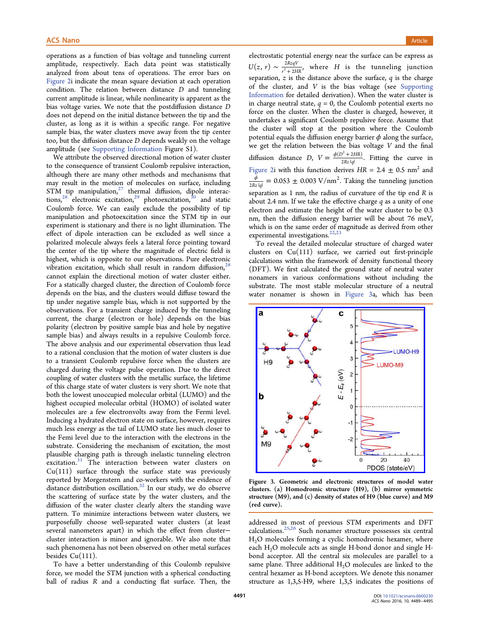<span id="page-2-0"></span>operations as a function of bias voltage and tunneling current amplitude, respectively. Each data point was statistically analyzed from about tens of operations. The error bars on Figure 2i indicate the mean square deviation at each operation condition. The relation between distance D and tunneling [current a](#page-1-0)mplitude is linear, while nonlinearity is apparent as the bias voltage varies. We note that the postdiffusion distance D does not depend on the initial distance between the tip and the cluster, as long as it is within a specific range. For negative sample bias, the water clusters move away from the tip center too, but the diffusion distance D depends weakly on the voltage amplitude (see Supporting Information Figure S1).

We attribute the observed directional motion of water cluster to the consequ[ence of transient Coulom](http://pubs.acs.org/doi/suppl/10.1021/acsnano.6b00230/suppl_file/nn6b00230_si_001.pdf)b repulsive interaction, although there are many other methods and mechanisms that may result in the motion of molecules on surface, including STM tip manipulation, $27$  thermal diffusion, dipole interactions,<sup>28</sup> electronic excitation,<sup>29</sup> photoexcitation,<sup>30</sup> and static Coulomb force. We ca[n](#page-6-0) easily exclude the possibility of tip mani[pu](#page-6-0)lation and photoexcit[ati](#page-6-0)on since the ST[M](#page-6-0) tip in our experiment is stationary and there is no light illumination. The effect of dipole interaction can be excluded as well since a polarized molecule always feels a lateral force pointing toward the center of the tip where the magnitude of electric field is highest, which is opposite to our observations. Pure electronic vibration excitation, which shall result in random diffusion,  $28$ cannot explain the directional motion of water cluster either. For a statically charged cluster, the direction of Coulomb for[ce](#page-6-0) depends on the bias, and the clusters would diffuse toward the tip under negative sample bias, which is not supported by the observations. For a transient charge induced by the tunneling current, the charge (electron or hole) depends on the bias polarity (electron by positive sample bias and hole by negative sample bias) and always results in a repulsive Coulomb force. The above analysis and our experimental observation thus lead to a rational conclusion that the motion of water clusters is due to a transient Coulomb repulsive force when the clusters are charged during the voltage pulse operation. Due to the direct coupling of water clusters with the metallic surface, the lifetime of this charge state of water clusters is very short. We note that both the lowest unoccupied molecular orbital (LUMO) and the highest occupied molecular orbital (HOMO) of isolated water molecules are a few electronvolts away from the Fermi level. Inducing a hydrated electron state on surface, however, requires much less energy as the tail of LUMO state lies much closer to the Femi level due to the interaction with the electrons in the substrate. Considering the mechanism of excitation, the most plausible charging path is through inelastic tunneling electron excitation.<sup>31</sup> The interaction between water clusters on Cu(111) surface through the surface state was previously reported b[y](#page-6-0) Morgenstern and co-workers with the evidence of distance distribution oscillation. $32$  In our study, we do observe the scattering of surface state by the water clusters, and the diffusion of the water cluster c[lea](#page-6-0)rly alters the standing wave pattern. To minimize interactions between water clusters, we purposefully choose well-separated water clusters (at least several nanometers apart) in which the effect from cluster− cluster interaction is minor and ignorable. We also note that such phenomena has not been observed on other metal surfaces besides  $Cu(111)$ .

To have a better understanding of this Coulomb repulsive force, we model the STM junction with a spherical conducting ball of radius R and a conducting flat surface. Then, the

electrostatic potential energy near the surface can be express as  $U(z, r) \sim \frac{2RzqV}{r^2 + 2HR}$ , where *H* is the tunneling junction  $2RzqV$ separation,  $z$  is the distance above the surface,  $q$  is the charge of the cluster, and  $V$  is the bias voltage (see Supporting Information for detailed derivation). When the water cluster is in charge neutral state,  $q = 0$ , the Coulomb potenti[al exerts no](http://pubs.acs.org/doi/suppl/10.1021/acsnano.6b00230/suppl_file/nn6b00230_si_001.pdf) [force on the](http://pubs.acs.org/doi/suppl/10.1021/acsnano.6b00230/suppl_file/nn6b00230_si_001.pdf) cluster. When the cluster is charged, however, it undertakes a significant Coulomb repulsive force. Assume that the cluster will stop at the position where the Coulomb potential equals the diffusion energy barrier  $\phi$  along the surface, we get the relation between the bias voltage  $V$  and the final diffusion distance  $D$ ,  $V = \frac{\phi(D^2 + 2HR)}{2Rz|q|}$  $(D^2+2HR)$ 2  $\frac{2+2HR}{2P \times 1}$ . Fitting the curve in Figure 2i with this function derives  $HR = 2.4 \pm 0.5$  nm<sup>2</sup> and  $\frac{\phi}{2Rz|q|} = 0.053 \pm 0.003 \text{ V/nm}^2$ . Taking the tunneling junction [separatio](#page-1-0)n as 1 nm, the radius of curvature of the tip end R is about 2.4 nm. If we take the effective charge  $q$  as a unity of one electron and estimate the height of the water cluster to be 0.3 nm, then the diffusion energy barrier will be about 76 meV, which is on the same order of magnitude as derived from other experimental investigations.<sup>22,23</sup>

To reveal the detailed molecular structure of charged water clusters on  $Cu(111)$  surf[ace,](#page-5-0) we carried out first-principle calculations within the framework of density functional theory (DFT). We first calculated the ground state of neutral water nonamers in various conformations without including the substrate. The most stable molecular structure of a neutral water nonamer is shown in Figure 3a, which has been



Fig[ure 3. Geometric and electronic structures of model wa](http://pubsdc3.acs.org/action/showImage?doi=10.1021/acsnano.6b00230&iName=master.img-003.jpg&w=215&h=211)ter clusters. (a) Homodromic structure (H9), (b) mirror symmetric structure (M9), and (c) density of states of H9 (blue curve) and M9 (red curve).

addressed in most of previous STM experiments and DFT calculations.25,26 Such nonamer structure possesses six central H2O molecules forming a cyclic homodromic hexamer, where each H2O [molec](#page-6-0)ule acts as single H-bond donor and single Hbond acceptor. All the central six molecules are parallel to a same plane. Three additional  $H_2O$  molecules are linked to the central hexamer as H-bond acceptors. We denote this nonamer structure as 1,3,5-H9, where 1,3,5 indicates the positions of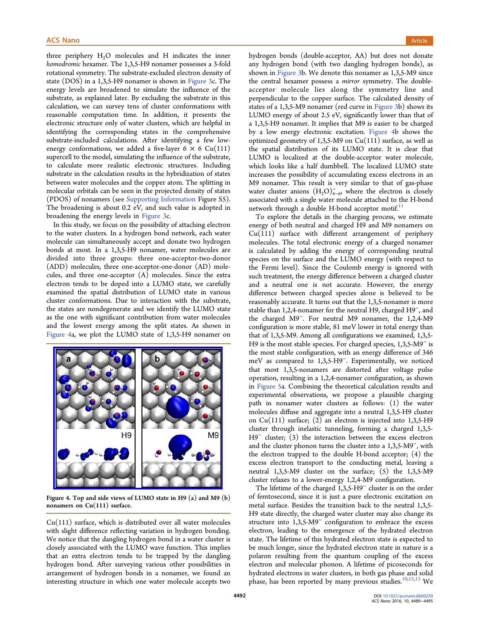three periphery  $H_2O$  molecules and H indicates the inner homodromic hexamer. The 1,3,5-H9 nonamer possesses a 3-fold rotational symmetry. The substrate-excluded electron density of state (DOS) in a 1,3,5-H9 nonamer is shown in Figure 3c. The energy levels are broadened to simulate the influence of the substrate, as explained later. By excluding the s[ubstrate](#page-2-0) in this calculation, we can survey tens of cluster conformations with reasonable computation time. In addition, it presents the electronic structure only of water clusters, which are helpful in identifying the corresponding states in the comprehensive substrate-included calculations. After identifying a few lowenergy conformations, we added a five-layer  $6 \times 6$  Cu(111) supercell to the model, simulating the influence of the substrate, to calculate more realistic electronic structures. Including substrate in the calculation results in the hybridization of states between water molecules and the copper atom. The splitting in molecular orbitals can be seen in the projected density of states (PDOS) of nonamers (see Supporting Information Figure S5). The broadening is about 0.2 eV, and such value is adopted in broadening the energy levels in Figure 3c.

In this study, we focus o[n](http://pubs.acs.org/doi/suppl/10.1021/acsnano.6b00230/suppl_file/nn6b00230_si_001.pdf) [the](http://pubs.acs.org/doi/suppl/10.1021/acsnano.6b00230/suppl_file/nn6b00230_si_001.pdf) [possibility](http://pubs.acs.org/doi/suppl/10.1021/acsnano.6b00230/suppl_file/nn6b00230_si_001.pdf) [of](http://pubs.acs.org/doi/suppl/10.1021/acsnano.6b00230/suppl_file/nn6b00230_si_001.pdf) [attach](http://pubs.acs.org/doi/suppl/10.1021/acsnano.6b00230/suppl_file/nn6b00230_si_001.pdf)ing electron to the water clusters. In a hydro[gen bond](#page-2-0) network, each water molecule can simultaneously accept and donate two hydrogen bonds at most. In a 1,3,5-H9 nonamer, water molecules are divided into three groups: three one-acceptor-two-donor (ADD) molecules, three one-acceptor-one-donor (AD) molecules, and three one-acceptor (A) molecules. Since the extra electron tends to be doped into a LUMO state, we carefully examined the spatial distribution of LUMO state in various cluster conformations. Due to interaction with the substrate, the states are nondegenerate and we identify the LUMO state as the one with significant contribution from water molecules and the lowest energy among the split states. As shown in Figure 4a, we plot the LUMO state of 1,3,5-H9 nonamer on



Fig[ure 4. Top and side views of LUMO state in H9 \(a\) and M9](http://pubsdc3.acs.org/action/showImage?doi=10.1021/acsnano.6b00230&iName=master.img-004.jpg&w=215&h=180) (b) nonamers on Cu(111) surface.

 $Cu(111)$  surface, which is distributed over all water molecules with slight difference reflecting variation in hydrogen bonding. We notice that the dangling hydrogen bond in a water cluster is closely associated with the LUMO wave function. This implies that an extra electron tends to be trapped by the dangling hydrogen bond. After surveying various other possibilities in arrangement of hydrogen bonds in a nonamer, we found an interesting structure in which one water molecule accepts two hydrogen bonds (double-acceptor, AA) but does not donate any hydrogen bond (with two dangling hydrogen bonds), as shown in Figure 3b. We denote this nonamer as 1,3,5-M9 since the central hexamer possess a *mirror* symmetry. The doubleacceptor [molecu](#page-2-0)le lies along the symmetry line and perpendicular to the copper surface. The calculated density of states of a 1,3,5-M9 nonamer (red curve in Figure 3b) shows its LUMO energy of about 2.5 eV, significantly lower than that of a 1,3,5-H9 nonamer. It implies that M9 is [easier to](#page-2-0) be charged by a low energy electronic excitation. Figure 4b shows the optimized geometry of  $1,3,5-M9$  on  $Cu(111)$  surface, as well as the spatial distribution of its LUMO state. It is clear that LUMO is localized at the double-acceptor water molecule, which looks like a half dumbbell. The localized LUMO state increases the possibility of accumulating excess electrons in an M9 nonamer. This result is very similar to that of gas-phase water cluster anions  $(H_2O)_{4-6}^-$ , where the electron is closely associated with a single water molecule attached to the H-bond network through a double H-bond acceptor motif. $11$ 

To explore the details in the charging process, we estimate energy of both neutral and charged H9 and M9 n[on](#page-5-0)amers on Cu(111) surface with different arrangement of periphery molecules. The total electronic energy of a charged nonamer is calculated by adding the energy of corresponding neutral species on the surface and the LUMO energy (with respect to the Fermi level). Since the Coulomb energy is ignored with such treatment, the energy difference between a charged cluster and a neutral one is not accurate. However, the energy difference between charged species alone is believed to be reasonably accurate. It turns out that the 1,3,5-nonamer is more stable than 1,2,4-nonamer for the neutral H9, charged H9<sup>−</sup>, and the charged M9<sup>−</sup>. For neutral M9 nonamer, the 1,2,4-M9 configuration is more stable, 81 meV lower in total energy than that of 1,3,5-M9. Among all configurations we examined, 1,3,5- H9 is the most stable species. For charged species, 1,3,5-M9<sup>−</sup> is the most stable configuration, with an energy difference of 346 meV as compared to 1,3,5-H9<sup>−</sup>. Experimentally, we noticed that most 1,3,5-nonamers are distorted after voltage pulse operation, resulting in a 1,2,4-nonamer configuration, as shown in Figure 5a. Combining the theoretical calculation results and experimental observations, we propose a plausible charging pa[th in no](#page-4-0)namer water clusters as follows: (1) the water molecules diffuse and aggregate into a neutral 1,3,5-H9 cluster on Cu(111) surface; (2) an electron is injected into 1,3,5-H9 cluster through inelastic tunneling, forming a charged 1,3,5- H9<sup>−</sup> cluster; (3) the interaction between the excess electron and the cluster phonon turns the cluster into a 1,3,5-M9<sup>−</sup>, with the electron trapped to the double H-bond acceptor; (4) the excess electron transport to the conducting metal, leaving a neutral 1,3,5-M9 cluster on the surface; (5) the 1,3,5-M9 cluster relaxes to a lower-energy 1,2,4-M9 configuration.

The lifetime of the charged 1,3,5-H9<sup>−</sup> cluster is on the order of femtosecond, since it is just a pure electronic excitation on metal surface. Besides the transition back to the neutral 1,3,5- H9 state directly, the charged water cluster may also change its structure into 1,3,5-M9<sup>−</sup> configuration to embrace the excess electron, leading to the emergence of the hydrated electron state. The lifetime of this hydrated electron state is expected to be much longer, since the hydrated electron state in nature is a polaron resulting from the quantum coupling of the excess electron and molecular phonon. A lifetime of picoseconds for hydrated electrons in water clusters, in both gas phase and solid phase, has been reported by many previous studies.<sup>10,12,13</sup> We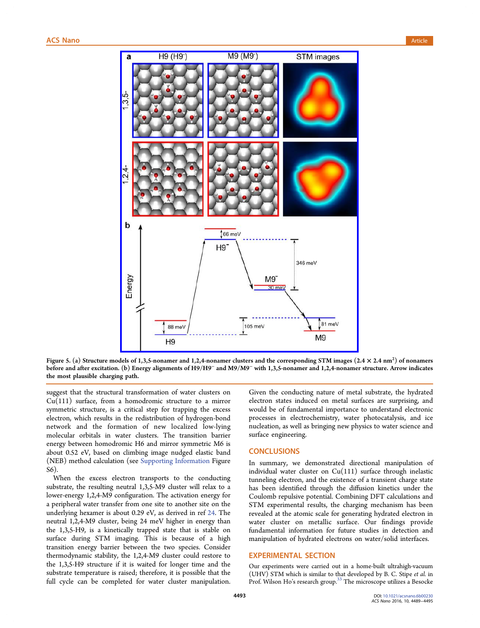<span id="page-4-0"></span>

Figure 5. (a) Structure models of 1,3,5-nonamer and 1,2,4-nonamer clusters and the corresponding STM images  $(2.4 \times 2.4$  nm $^2)$  of nonamers before and after excitation. (b) Energy alignments of H9/H9<sup>−</sup> and M9/M9<sup>−</sup> with 1,3,5-nonamer and 1,2,4-nonamer structure. Arrow indicates the most plausible charging path.

suggest that the structural transformation of water clusters on Cu(111) surface, from a homodromic structure to a mirror symmetric structure, is a critical step for trapping the excess electron, which results in the redistribution of hydrogen-bond network and the formation of new localized low-lying molecular orbitals in water clusters. The transition barrier energy between homodromic H6 and mirror symmetric M6 is about 0.52 eV, based on climbing image nudged elastic band (NEB) method calculation (see Supporting Information Figure S6).

When the excess electron [transports to the cond](http://pubs.acs.org/doi/suppl/10.1021/acsnano.6b00230/suppl_file/nn6b00230_si_001.pdf)ucting substrate, the resulting neutral 1,3,5-M9 cluster will relax to a lower-energy 1,2,4-M9 configuration. The activation energy for a peripheral water transfer from one site to another site on the underlying hexamer is about 0.29 eV, as derived in ref 24. The neutral 1,2,4-M9 cluster, being 24 meV higher in energy than the 1,3,5-H9, is a kinetically trapped state that is st[abl](#page-6-0)e on surface during STM imaging. This is because of a high transition energy barrier between the two species. Consider thermodynamic stability, the 1,2,4-M9 cluster could restore to the 1,3,5-H9 structure if it is waited for longer time and the substrate temperature is raised; therefore, it is possible that the full cycle can be completed for water cluster manipulation.

Given the conducting nature of metal substrate, the hydrated electron states induced on metal surfaces are surprising, and would be of fundamental importance to understand electronic processes in electrochemistry, water photocatalysis, and ice nucleation, as well as bringing new physics to water science and surface engineering.

## **CONCLUSIONS**

In summary, we demonstrated directional manipulation of individual water cluster on  $Cu(111)$  surface through inelastic tunneling electron, and the existence of a transient charge state has been identified through the diffusion kinetics under the Coulomb repulsive potential. Combining DFT calculations and STM experimental results, the charging mechanism has been revealed at the atomic scale for generating hydrated electron in water cluster on metallic surface. Our findings provide fundamental information for future studies in detection and manipulation of hydrated electrons on water/solid interfaces.

# EXPERIMENTAL SECTION

Our experiments were carried out in a home-built ultrahigh-vacuum (UHV) STM which is similar to that developed by B. C. Stipe et al. in Prof. Wilson Ho's research group.<sup>33</sup> The microscope utilizes a Besocke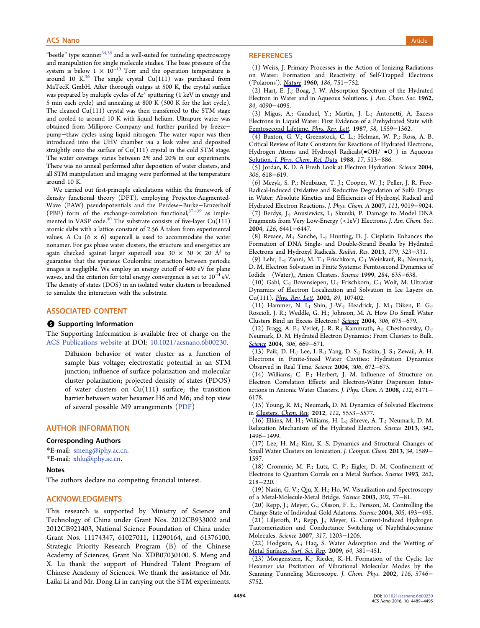<span id="page-5-0"></span>"beetle" type scanner $34,35$  and is well-suited for tunneling spectroscopy and manipulation for single molecule studies. The base pressure of the system is below  $1 \times 10^{-10}$  $1 \times 10^{-10}$  $1 \times 10^{-10}$  Torr and the operation temperature is around 10 K. $36$  The single crystal Cu(111) was purchased from MaTecK GmbH. After thorough outgas at 500 K, the crystal surface was prepared [by](#page-6-0) multiple cycles of  $Ar^+$  sputtering  $(1 \text{ keV}$  in energy and 5 min each cycle) and annealing at 800 K (500 K for the last cycle). The cleaned  $Cu(111)$  crystal was then transferred to the STM stage and cooled to around 10 K with liquid helium. Ultrapure water was obtained from Millipore Company and further purified by freeze− pump−thaw cycles using liquid nitrogen. The water vapor was then introduced into the UHV chamber via a leak valve and deposited straightly onto the surface of  $Cu(111)$  crystal in the cold STM stage. The water coverage varies between 2% and 20% in our experiments. There was no anneal performed after deposition of water clusters, and all STM manipulation and imaging were performed at the temperature around 10 K.

We carried out first-principle calculations within the framework of density functional theory (DFT), employing Projector-Augmented-Wave (PAW) pseudopotentials and the Perdew−Burke−Ernzerholf (PBE) form of the exchange-correlation functional,<sup>37–39</sup> as implemented in VASP code.<sup>40</sup> The substrate consists of five-layer  $Cu(111)$ atomic slabs with a lattice constant of 2.56 Å taken fr[om ex](#page-6-0)perimental values. A Cu  $(6 \times 6)$  supercell is used to accommodate the water nonamer. For gas phase water clusters, the structure and energetics are again checked against larger supercell size 30  $\times$  30  $\times$  20  $\mathring{A}^3$  to guarantee that the spurious Coulombic interaction between periodic images is negligible. We employ an energy cutoff of 400 eV for plane waves, and the criterion for total energy convergence is set to 10<sup>-4</sup> eV. The density of states (DOS) in an isolated water clusters is broadened to simulate the interaction with the substrate.

## ASSOCIATED CONTENT

#### **S** Supporting Information

The Supporting Information is available free of charge on the ACS Publications website at DOI: 10.1021/acsnano.6b00230.

Diffusion behavior of water cluster as a function of [sample bias voltage](http://pubs.acs.org); electro[static potential in an STM](http://pubs.acs.org/doi/abs/10.1021/acsnano.6b00230) junction; influence of surface polarization and molecular cluster polarization; projected density of states (PDOS) of water clusters on  $Cu(111)$  surface; the transition barrier between water hexamer H6 and M6; and top view of several possible M9 arrangements (PDF)

#### AUTHOR INFORMATION

#### Corresponding Authors

\*E-mail: smeng@iphy.ac.cn. \*E-mail: xhlu@iphy.ac.cn.

#### Notes

The auth[ors declare no c](mailto:xhlu@iphy.ac.cn)ompeting financial interest.

## ACKNOWLEDGMENTS

This research is supported by Ministry of Science and Technology of China under Grant Nos. 2012CB933002 and 2012CB921403, National Science Foundation of China under Grant Nos. 11174347, 61027011, 11290164, and 61376100. Strategic Priority Research Program (B) of the Chinese Academy of Sciences, Grant No. XDB07030100. S. Meng and X. Lu thank the support of Hundred Talent Program of Chinese Academy of Sciences. We thank the assistance of Mr. Lailai Li and Mr. Dong Li in carrying out the STM experiments.

## **REFERENCES**

(1) Weiss, J. Primary Processes in the Action of Ionizing Radiations on Water: Formation and Reactivity of Self-Trapped Electrons ('Polarons'). Nature 1960, 186, 751−752.

(2) Hart, E. J.; Boag, J. W. Absorption Spectrum of the Hydrated Electron in [Water an](http://pubs.acs.org/action/showLinks?crossref=10.1038%2F186751a0&coi=1%3ACAS%3A528%3ADyaF3MXhtFKksg%253D%253D)d in Aqueous Solutions. J. Am. Chem. Soc. 1962, 84, 4090−4095.

(3) Migus, A.; Gauduel, Y.; Martin, J. L.; Antonetti, A. Excess Electrons in Liquid Water: First Evidence of a Prehydrated State with Femtosecond Lifetime. Phys. Rev. Lett. 1987, 58, 1559−1562.

(4) Buxton, G. V.; Greenstock, C. L.; Helman, W. P.; Ross, A. B. Critical Review of Rate Constants for Reactions of Hydrated Electrons, [Hydrogen](http://pubs.acs.org/action/showLinks?crossref=10.1103%2FPhysRevLett.58.1559) [Atoms](http://pubs.acs.org/action/showLinks?crossref=10.1103%2FPhysRevLett.58.1559) [and](http://pubs.acs.org/action/showLinks?crossref=10.1103%2FPhysRevLett.58.1559) [Hydroxyl](http://pubs.acs.org/action/showLinks?crossref=10.1103%2FPhysRevLett.58.1559) [Rad](http://pubs.acs.org/action/showLinks?crossref=10.1103%2FPhysRevLett.58.1559)icals(•OH/ •O<sup>−</sup>) in Aqueous Solution. J. Phys. Chem. Ref. Data 1988, 17, 513−886.

(5) Jordan, K. D. A Fresh Look at Electron Hydration. Science 2004, 306, 618−619.

[\(6\)](http://pubs.acs.org/action/showLinks?crossref=10.1063%2F1.555805&coi=1%3ACAS%3A528%3ADyaL1cXlvFyisLc%253D) [Mezyk,](http://pubs.acs.org/action/showLinks?crossref=10.1063%2F1.555805&coi=1%3ACAS%3A528%3ADyaL1cXlvFyisLc%253D) [S.](http://pubs.acs.org/action/showLinks?crossref=10.1063%2F1.555805&coi=1%3ACAS%3A528%3ADyaL1cXlvFyisLc%253D) [P.;](http://pubs.acs.org/action/showLinks?crossref=10.1063%2F1.555805&coi=1%3ACAS%3A528%3ADyaL1cXlvFyisLc%253D) [Neubauer,](http://pubs.acs.org/action/showLinks?crossref=10.1063%2F1.555805&coi=1%3ACAS%3A528%3ADyaL1cXlvFyisLc%253D) [T.](http://pubs.acs.org/action/showLinks?crossref=10.1063%2F1.555805&coi=1%3ACAS%3A528%3ADyaL1cXlvFyisLc%253D) J.; Cooper, W. J.; Peller, J. R. Free-Radical-Induced Oxidative and Reductive Degradation of Sulfa Drugs in Water: Absolute Kinetics and Efficiencies of Hydroxyl Radical and Hydrated Electron Reactions. J. Phys. Chem. A 2007, 111, 9019−9024.

(7) Berdys, J.; Anusiewicz, I.; Skurski, P. Damage to Model DNA Fragments from Very Low-Energy (<1eV) Electrons. J. Am. Chem. Soc. 2004, 126, 6441−6447.

(8) Rezaee, M.; Sanche, L.; Hunting, D. J. Cisplatin Enhances the Formation of DNA Single- and Double-Strand Breaks by Hydrated Electrons and Hydroxyl Radicals. Radiat. Res. 2013, 179, 323−331.

(9) Lehr, L.; Zanni, M. T.; Frischkorn, C.; Weinkauf, R.; Neumark, D. M. Electron Solvation in Finite Systems: Femtosecond Dynamics of Iodide · (Water)n Anion Clusters. Science 1999, 284, 635−638.

(10) Gahl, C.; Bovensiepen, U.; Frischkorn, C.; Wolf, M. Ultrafast Dynamics of Electron Localization and Solvation in Ice Layers on Cu(111). *Phys. Rev. Lett.* 2002, 89, 107402.

(11) Hammer, N. I.; Shin, J.-W.; Headrick, J. M.; Diken, E. G.; Roscioli, J. R.; Weddle, G. H.; Johnson, M. A. How Do Small Water Clusters [Bind](http://pubs.acs.org/action/showLinks?pmid=12225225&crossref=10.1103%2FPhysRevLett.89.107402&coi=1%3ACAS%3A280%3ADC%252BD38vmsFKjtw%253D%253D) [an](http://pubs.acs.org/action/showLinks?pmid=12225225&crossref=10.1103%2FPhysRevLett.89.107402&coi=1%3ACAS%3A280%3ADC%252BD38vmsFKjtw%253D%253D) [Excess](http://pubs.acs.org/action/showLinks?pmid=12225225&crossref=10.1103%2FPhysRevLett.89.107402&coi=1%3ACAS%3A280%3ADC%252BD38vmsFKjtw%253D%253D) Electron? Science 2004, 306, 675−679.

(12) Bragg, A. E.; Verlet, J. R. R.; Kammrath, A.; Cheshnovsky, O.; Neumark, D. M. Hydrated Electron [Dynam](http://pubs.acs.org/action/showLinks?pmid=15375220&crossref=10.1126%2Fscience.1102792&coi=1%3ACAS%3A528%3ADC%252BD2cXos1Kqt7g%253D)ics: From Clusters to Bulk. Science 2004, 306, 669−671.

(13) Paik, D. H.; Lee, I.-R.; Yang, D.-S.; Baskin, J. S.; Zewail, A. H. Electrons in Finite-Sized Water Cavities: Hydration Dynamics [Observ](http://pubs.acs.org/action/showLinks?pmid=15375222&crossref=10.1126%2Fscience.1103527&coi=1%3ACAS%3A528%3ADC%252BD2cXos1Kqt7o%253D)ed in Real Time. Science 2004, 306, 672−675.

(14) Williams, C. F.; Herbert, J. M. Influence of Structure on Electron Correlation Effects and Electron-Water Dispersion Interactions in Anionic Water Clusters. J. Phys. Chem. A 2008, 112, 6171− 6178.

(15) Young, R. M.; Neumark, D. M. Dynamics of Solvated Electrons in Clusters. Chem. Rev. 2012, 112, 5553−5577.

(16) Elkins, M. H.; Williams, H. L.; Shreve, A. T.; Neumark, D. M. Re[laxation Mechanism](http://pubs.acs.org/action/showLinks?system=10.1021%2Fcr300042h&pmid=22742559&coi=1%3ACAS%3A528%3ADC%252BC38Xptlylsbs%253D) of the Hydrated Electron. Science 2013, 342, 1496−1499.

(17) Lee, H. M.; Kim, K. S. Dynamics and Structural Changes of Small Water Clusters on Ionization. J. Comput. Chem. 2013, 34, 1589− 1597.

(18) Crommie, M. F.; Lutz, C. P.; Eigler, D. M. Confinement of Electrons to Quantum Corrals on a Metal Surface. Science 1993, 262, 218−220.

(19) Nazin, G. V.; Qiu, X. H.; Ho, W. Visualization and Spectroscopy of a Metal-Molecule-Metal Bridge. Science 2003, 302, 77−81.

(20) Repp, J.; Meyer, G.; Olsson, F. E.; Persson, M. Controlling the Charge State of Individual Gold Adatoms. Science 2004, 305, 493−495.

(21) Liljeroth, P.; Repp, J.; Meyer, G. Current-Induced Hydrogen Tautomerization and Conductance Switching of Naphthalocyanine Molecules. Science 2007, 317, 1203−1206.

(22) Hodgson, A.; Haq, S. Water Adsorption and the Wetting of Metal Surfaces. Surf. Sci. Rep. 2009, 64, 381−451.

(23) Morgenstern, K.; Rieder, K.-H. Formation of the Cyclic Ice Hexamer via Excitation of Vibrational Molecular Modes by the [Scanning](http://pubs.acs.org/action/showLinks?crossref=10.1016%2Fj.surfrep.2009.07.001&coi=1%3ACAS%3A528%3ADC%252BD1MXhtV2jtL7F) [Tunneling](http://pubs.acs.org/action/showLinks?crossref=10.1016%2Fj.surfrep.2009.07.001&coi=1%3ACAS%3A528%3ADC%252BD1MXhtV2jtL7F) [Microsc](http://pubs.acs.org/action/showLinks?crossref=10.1016%2Fj.surfrep.2009.07.001&coi=1%3ACAS%3A528%3ADC%252BD1MXhtV2jtL7F)ope. J. Chem. Phys. 2002, 116, 5746− 5752.